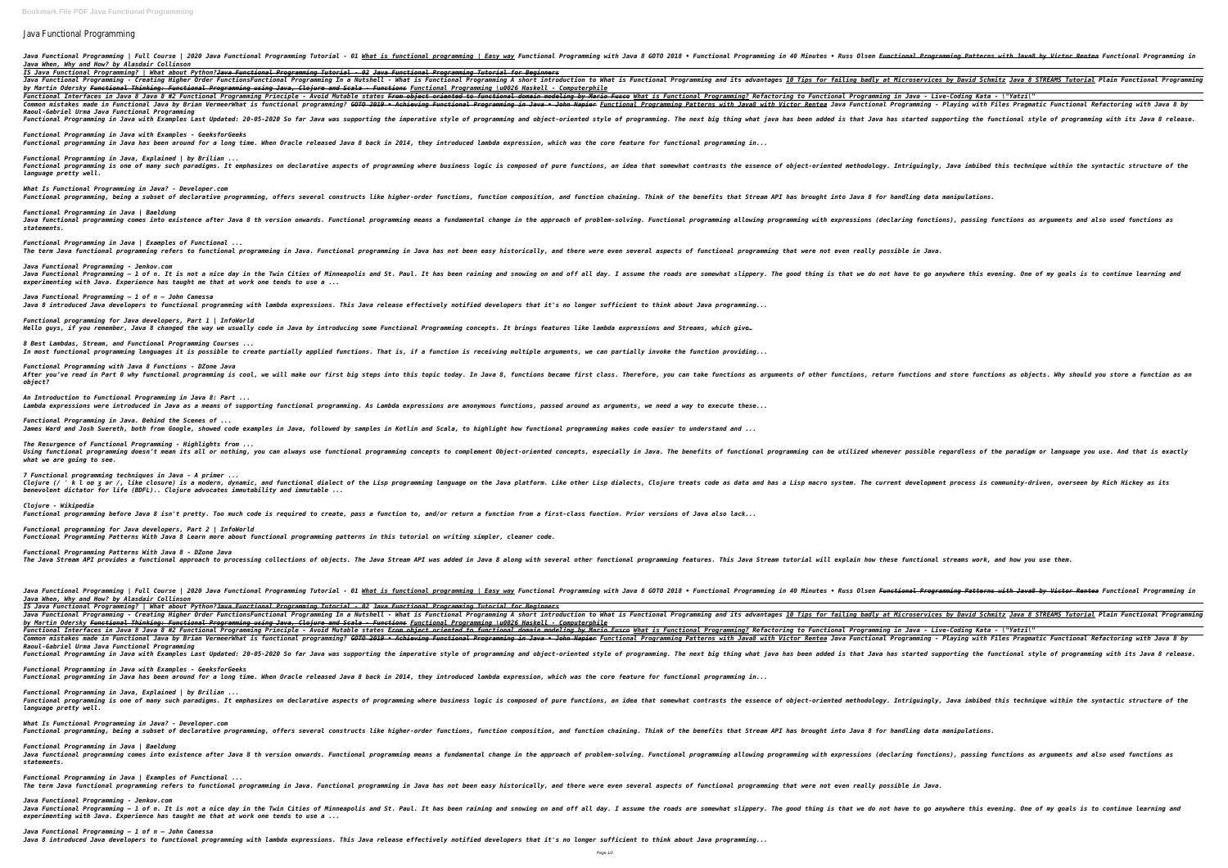## Java Functional Programming

Java Functional Programming | Full Course | 2020 Java Functional Programming Tutorial - 01 <u>What is functional programming in 40 Minutes • Russ Olsen <del>Functional Programming Patterns with Java8 by Victor Rentea</del> Functional</u> *Java When, Why and How? by Alasdair Collinson IS Java Functional Programming? | What about Python?Java Functional Programming Tutorial - 02 Java Functional Programming Tutorial for Beginners* Java Functional Programming - Creating Higher Order FunctionsFunctional Programming In a Nutshell - What is Functional Programming A short introduction to What is Functional Programming and its advantages <u>10 Tips</u> for fai *by Martin Odersky Functional Thinking: Functional Programming using Java, Clojure and Scala - Functions Functional Programming \u0026 Haskell - Computerphile* Functional Interfaces in Java 8 #2 Functional Programming Principle - Avoid Mutable states <del>From object oriented to functional Programming</del> to Functional Programming in Java - Live-Coding Kata - \"Yatzi\" Common mistakes made in Functional Java by Brian VermeerWhat is functional programming? <del>GOTO 2019 • Achieving Functional Programming in Java • John Napier Functional Programming Patterns with Victor Rentea Java • John Nap</del> *Raoul-Gabriel Urma Java Functional Programming* Functional Programming in Java with Examples Last Updated: 20-05-2020 So far Java was supporting the imperative style of programming and object-oriented style of programming. The next big thing what java has started suppor *Functional Programming in Java with Examples - GeeksforGeeks Functional programming in Java has been around for a long time. When Oracle released Java 8 back in 2014, they introduce Functional Programming in Java, Explained | by Brilian ...* Functional programming is one of many such paradigms. It emphasizes on declarative aspects of programming where business logic is composed of pure functions, an idea that somewhat contrasts the essence of object-oriented m *language pretty well. What Is Functional Programming in Java? - Developer.com* Functional programming, being a subset of declarative programming, offers several constructs like higher-order function, and function chaining. Think of the benefits that Stream API has brought into Java 8 for handling dat *Functional Programming in Java | Baeldung* Java functional programming comes into existence after Java 8 th version onwards. Functional programming means a fundamental change in the approach of problem-solving, Functional programming with expressions (declaring fun *statements. Functional Programming in Java | Examples of Functional ...* The term Java functional programming refers to functional programming in Java. Functional programming in Java has not been easy historically, and there were even several aspects of functional programming that were not even *Java Functional Programming - Jenkov.com* Java Functional Programming — 1 of n. It is not a nice day in the Twin Cities of Minneapolis and St. Paul. It has been raining and snowing on and off all day. I assume the roads are somewhat slippery. The good thing is tha *experimenting with Java. Experience has taught me that at work one tends to use a ... Java Functional Programming – 1 of n – John Canessa* Java 8 introduced Java developers to functional programming with lambda expressions. This Java release effectively noti *Functional programming for Java developers, Part 1 | InfoWorld* Hello guys, if you remember, Java 8 changed the way we usually code in Java by introducing some Functional Programming *8 Best Lambdas, Stream, and Functional Programming Courses ...* In most functional programming languages it is possible to create partially applied functions. That is, if a function i *Functional Programming with Java 8 Functions - DZone Java* After you've read in Part 0 why functional programming is cool, we will make our first big steps into this topic today. In Java 8, functions, return functions and store functions as objects. Why should you store a function *object? An Introduction to Functional Programming in Java 8: Part ...* Lambda expressions were introduced in Java as a means of supporting functional programming. As Lambda expressions are a *Functional Programming in Java. Behind the Scenes of ... James Ward and Josh Suereth, both from Google, showed code examples in Java, followed by samples in Kotlin and Scala, to highlight how functional programming makes code easier to understand and ... The Resurgence of Functional Programming - Highlights from ...* Using functional programming doesn't mean its all or nothing, you can always use functional programming concepts to complement Object-oriented concepts, especially in Java. The benefits of functional programming can be uti *what we are going to see. 7 Functional programming techniques in Java - A primer ...* Clojure (/ ' k l ov ʒ ər /, like closure) is a modern, dynamic, and functional dialect of the Lisp programming language on the Java platform. Like other Lisp dialects, Clojure treats code as data and has a Lisp macro syste *benevolent dictator for life (BDFL).. Clojure advocates immutability and immutable ... Clojure - Wikipedia Functional programming before Java 8 isn't pretty. Too much code is required to create, pass a function to, and/or return and/or return and/or return and/or return and/or return and... Functional programming for Java developers, Part 2 | InfoWorld Functional Programming Patterns With Java 8 Learn more about functional programming patterns in this tutorial on writing simpler, cleaner code. Functional Programming Patterns With Java 8 - DZone Java* The Java Stream API provides a functional approach to processing collections of objects. The Java Stream API was added in Java 8 along with several other functional programming features. This Java Stream tutorial will expl Java Functional Programming | Full Course | 2020 Java Functional Programming Tutorial - 01 <u>What is functional programming</u> in 40 Minutes • Russ Olsen <del>Functional Programming Aatterns with Java8 by Victor Rentea</del> Functiona *Java When, Why and How? by Alasdair Collinson IS Java Functional Programming? | What about Python?Java Functional Programming Tutorial - 02 Java Functional Programming Tutorial for Beginners* Java Functional Programming - Creating Higher Order FunctionsFunctional Programming In a Nutshell - What is Functional Programming A short introduction to What is Functional Programming A short introduction to What is Func *by Martin Odersky Functional Thinking: Functional Programming using Java, Clojure and Scala - Functions Functional Programming \u0026 Haskell - Computerphile* Functional Interfaces in Java 8 #2 Functional Programming Principle - Avoid Mutable states <del>From object oriented to functional Programming</del> to Functional Programming in Java - Live-Coding Kata - \"Yatzi\" Common mistakes made in Functional Java by Brian VermeerWhat is functional programming? <del>GOTO 2019 • Achieving Functional Programming in Java • John Napier <u>Functional Programming Patterns with Java Bunctional Programming </del></u> *Raoul-Gabriel Urma Java Functional Programming* Functional Programming in Java with Examples Last Updated: 20-05-2020 So far Java was supporting the imperative style of programming and object-oriented style of programming. The next big thing what java has started suppor *Functional Programming in Java with Examples - GeeksforGeeks Functional programming in Java has been around for a long time. When Oracle released Java 8 back in 2014, they introduce Functional Programming in Java, Explained | by Brilian ...* Functional programming is one of many such paradigms. It emphasizes on declarative aspects of programming where business logic is composed of pure functions, an idea that somewhat contrasts the essence of object-oriented m *language pretty well. What Is Functional Programming in Java? - Developer.com* Functional programming, being a subset of declarative programming, offers several constructs like higher-order function, and function, and function, and function, and function, and function chaining. Think of the benefits *Functional Programming in Java | Baeldung* Java functional programming comes into existence after Java 8 th version onwards. Functional programming means a fundamental change in the approach of problem-solving, Functional programming with expressions (declaring fun *statements. Functional Programming in Java | Examples of Functional ...* The term Java functional programming refers to functional programming in Java. Functional programming in Java has not been easy historically, and there were even several aspects of functional programming that were not even *Java Functional Programming - Jenkov.com* Java Functional Programming — 1 of n. It is not a nice day in the Twin Cities of Minneapolis and St. Paul. It has been raining and snowing on and off all day. I assume the roads are somewhat slippery. The good thing is tha *experimenting with Java. Experience has taught me that at work one tends to use a ... Java Functional Programming – 1 of n – John Canessa Java 8 introduced Java developers to functional programming with lambda expressions. This Java release effectively notified developers that it's no longer sufficient to think about Java programming...*

| <u> Tamming (UVVZV Haskett - Computerphite</u>                                                                                                                                                                                                                                 |
|--------------------------------------------------------------------------------------------------------------------------------------------------------------------------------------------------------------------------------------------------------------------------------|
| to functional domain modeling by Mario Fusco What is Functional Programming? Refactoring to Functional Programming in Java -<br><del>l Programming in Java • John Napier</del> <u>Functional Programming Patterns with Java8 with Victor Rentea</u> Java Functional Programmin |
| of programming and object-oriented style of programming. The next big thing what java has been added is that Java has started                                                                                                                                                  |
| ed lambda expression, which was the core feature for functional programming in                                                                                                                                                                                                 |
| ss logic is composed of pure functions, an idea that somewhat contrasts the essence of object-oriented methodology. Intriguin                                                                                                                                                  |
| ns, function composition, and function chaining. Think of the benefits that Stream API has brought into Java 8 for handling d                                                                                                                                                  |
| nental change in the approach of problem-solving. Functional programming allowing programming with expressions (declaring fun                                                                                                                                                  |
| veen easy historically, and there were even several aspects of functional programming that were not even really possible in J                                                                                                                                                  |
| raining and snowing on and off all day. I assume the roads are somewhat slippery. The good thing is that we do not have to g                                                                                                                                                   |
| ified developers that it's no longer sufficient to think about Java programming                                                                                                                                                                                                |
| concepts. It brings features like lambda expressions and Streams, which give                                                                                                                                                                                                   |
| is receiving multiple arguments, we can partially invoke the function providing $\,$                                                                                                                                                                                           |
| . In Java 8, functions became first class. Therefore, you can take functions as arguments of other functions, return function                                                                                                                                                  |
| nonymous functions, passed around as arguments, we need a way to execute these                                                                                                                                                                                                 |
| to highlight how functional programming makes code easier to understand and $\dots$                                                                                                                                                                                            |
| nplement Object-oriented concepts, especially in Java. The benefits of functional programming can be utilized whenever possib                                                                                                                                                  |
| on the Java platform. Like other Lisp dialects, Clojure treats code as data and has a Lisp macro system. The current develo فا                                                                                                                                                 |
| Irn a function from a first-class function. Prior versions of Java also lack                                                                                                                                                                                                   |
| ng simpler, cleaner code.                                                                                                                                                                                                                                                      |
| in Java 8 along with several other functional programming features. This Java Stream tutorial will explain how these functio                                                                                                                                                   |
| i <u>ng   Easy way</u> Functional Programming with Java 8 GOTO 2018 • Functional Programming in 40 Minutes • Russ Olsen <del>Functional Pr</del>                                                                                                                               |
| ing Tutorial for Beginners<br>Programming A short introduction to What is Functional Programming and its advantages 10 Tips for failing badly at Microserv                                                                                                                     |
| <u> ramming \u0026 Haskell - Computerphile</u><br>to functional domain modeling by Mario Fusco What is Functional Programming? Refactoring to Functional Programming in Java -                                                                                                 |
| <del>l Programming in Java • John Napier</del> <u>Functional Programming Patterns with Java8 with Victor Rentea</u> Java Functional Programmin                                                                                                                                 |
| of programming and object-oriented style of programming. The next big thing what java has been added is that Java has started                                                                                                                                                  |
| ed lambda expression, which was the core feature for functional programming in                                                                                                                                                                                                 |
| ss logic is composed of pure functions, an idea that somewhat contrasts the essence of object-oriented methodology. Intriguin                                                                                                                                                  |
| ns, function composition, and function chaining. Think of the benefits that Stream API has brought into Java 8 for handling d                                                                                                                                                  |